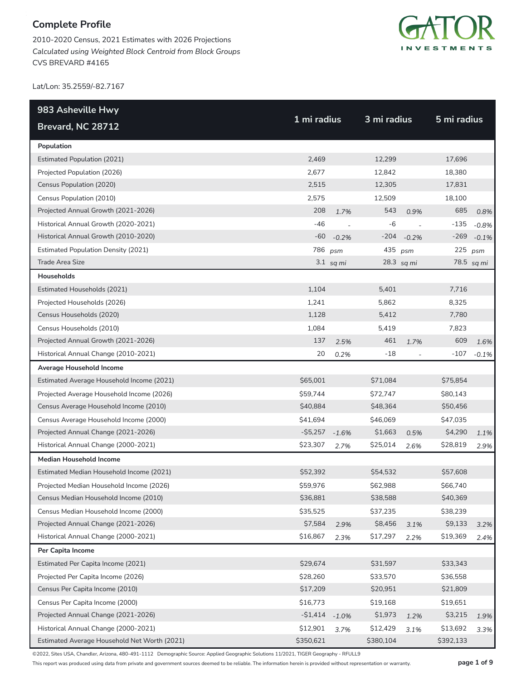2010-2020 Census, 2021 Estimates with 2026 Projections *Calculated using Weighted Block Centroid from Block Groups* CVS BREVARD #4165



Lat/Lon: 35.2559/-82.7167

| 983 Asheville Hwy                            |             |                | 3 mi radius |            |             |            |
|----------------------------------------------|-------------|----------------|-------------|------------|-------------|------------|
| Brevard, NC 28712                            | 1 mi radius |                |             |            | 5 mi radius |            |
| Population                                   |             |                |             |            |             |            |
| <b>Estimated Population (2021)</b>           | 2,469       |                | 12,299      |            | 17,696      |            |
| Projected Population (2026)                  | 2,677       |                | 12,842      |            | 18,380      |            |
| Census Population (2020)                     | 2,515       |                | 12,305      |            | 17,831      |            |
| Census Population (2010)                     | 2,575       |                | 12,509      |            | 18,100      |            |
| Projected Annual Growth (2021-2026)          | 208         | 1.7%           | 543         | 0.9%       | 685         | 0.8%       |
| Historical Annual Growth (2020-2021)         | $-46$       | $\overline{a}$ | $-6$        |            | $-135$      | $-0.8%$    |
| Historical Annual Growth (2010-2020)         | $-60$       | $-0.2%$        | $-204$      | $-0.2%$    | $-269$      | $-0.1%$    |
| <b>Estimated Population Density (2021)</b>   | 786         | psm            | 435         | psm        | $225$ psm   |            |
| Trade Area Size                              |             | $3.1$ sq mi    |             | 28.3 sq mi |             | 78.5 sq mi |
| <b>Households</b>                            |             |                |             |            |             |            |
| Estimated Households (2021)                  | 1,104       |                | 5,401       |            | 7,716       |            |
| Projected Households (2026)                  | 1,241       |                | 5,862       |            | 8,325       |            |
| Census Households (2020)                     | 1,128       |                | 5,412       |            | 7,780       |            |
| Census Households (2010)                     | 1,084       |                | 5,419       |            | 7,823       |            |
| Projected Annual Growth (2021-2026)          | 137         | 2.5%           | 461         | 1.7%       | 609         | 1.6%       |
| Historical Annual Change (2010-2021)         | 20          | 0.2%           | -18         |            | $-107$      | $-0.1%$    |
| Average Household Income                     |             |                |             |            |             |            |
| Estimated Average Household Income (2021)    | \$65,001    |                | \$71,084    |            | \$75,854    |            |
| Projected Average Household Income (2026)    | \$59,744    |                | \$72,747    |            | \$80,143    |            |
| Census Average Household Income (2010)       | \$40,884    |                | \$48,364    |            | \$50,456    |            |
| Census Average Household Income (2000)       | \$41,694    |                | \$46,069    |            | \$47,035    |            |
| Projected Annual Change (2021-2026)          | $-55,257$   | $-1.6%$        | \$1,663     | 0.5%       | \$4,290     | 1.1%       |
| Historical Annual Change (2000-2021)         | \$23,307    | 2.7%           | \$25,014    | 2.6%       | \$28,819    | 2.9%       |
| <b>Median Household Income</b>               |             |                |             |            |             |            |
| Estimated Median Household Income (2021)     | \$52,392    |                | \$54,532    |            | \$57,608    |            |
| Projected Median Household Income (2026)     | \$59,976    |                | \$62,988    |            | \$66,740    |            |
| Census Median Household Income (2010)        | \$36,881    |                | \$38,588    |            | \$40,369    |            |
| Census Median Household Income (2000)        | \$35,525    |                | \$37,235    |            | \$38,239    |            |
| Projected Annual Change (2021-2026)          | \$7,584     | 2.9%           | \$8,456     | 3.1%       | \$9,133     | 3.2%       |
| Historical Annual Change (2000-2021)         | \$16,867    | 2.3%           | \$17,297    | 2.2%       | \$19,369    | 2.4%       |
| Per Capita Income                            |             |                |             |            |             |            |
| Estimated Per Capita Income (2021)           | \$29,674    |                | \$31,597    |            | \$33,343    |            |
| Projected Per Capita Income (2026)           | \$28,260    |                | \$33,570    |            | \$36,558    |            |
| Census Per Capita Income (2010)              | \$17,209    |                | \$20,951    |            | \$21,809    |            |
| Census Per Capita Income (2000)              | \$16,773    |                | \$19,168    |            | \$19,651    |            |
| Projected Annual Change (2021-2026)          | $-$1,414$   | $-1.0%$        | \$1,973     | 1.2%       | \$3,215     | 1.9%       |
| Historical Annual Change (2000-2021)         | \$12,901    | 3.7%           | \$12,429    | 3.1%       | \$13,692    | 3.3%       |
| Estimated Average Household Net Worth (2021) | \$350,621   |                | \$380,104   |            | \$392,133   |            |

©2022, Sites USA, Chandler, Arizona, 480-491-1112 Demographic Source: Applied Geographic Solutions 11/2021, TIGER Geography - RFULL9

This report was produced using data from private and government sources deemed to be reliable. The information herein is provided without representation or warranty. **page 1 of 9**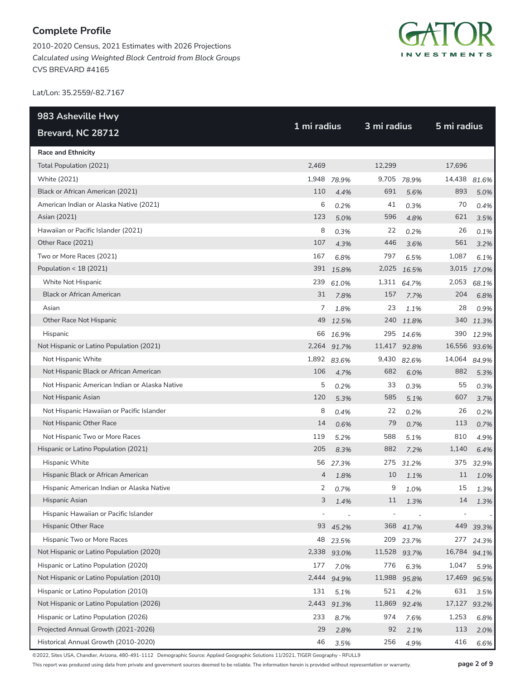2010-2020 Census, 2021 Estimates with 2026 Projections *Calculated using Weighted Block Centroid from Block Groups* CVS BREVARD #4165



Lat/Lon: 35.2559/-82.7167

| 983 Asheville Hwy                             | 1 mi radius |             |                | 3 mi radius |              |             |  |
|-----------------------------------------------|-------------|-------------|----------------|-------------|--------------|-------------|--|
| Brevard, NC 28712                             |             |             |                |             | 5 mi radius  |             |  |
| <b>Race and Ethnicity</b>                     |             |             |                |             |              |             |  |
| Total Population (2021)                       | 2,469       |             | 12,299         |             | 17,696       |             |  |
| White (2021)                                  | 1,948       | 78.9%       | 9,705          | 78.9%       | 14,438       | 81.6%       |  |
| Black or African American (2021)              | 110         | 4.4%        | 691            | 5.6%        | 893          | 5.0%        |  |
| American Indian or Alaska Native (2021)       | 6           | 0.2%        | 41             | 0.3%        | 70           | 0.4%        |  |
| Asian (2021)                                  | 123         | 5.0%        | 596            | 4.8%        | 621          | 3.5%        |  |
| Hawaiian or Pacific Islander (2021)           | 8           | 0.3%        | 22             | 0.2%        | 26           | 0.1%        |  |
| Other Race (2021)                             | 107         | 4.3%        | 446            | 3.6%        | 561          | 3.2%        |  |
| Two or More Races (2021)                      | 167         | 6.8%        | 797            | 6.5%        | 1,087        | 6.1%        |  |
| Population < 18 (2021)                        |             | 391 15.8%   | 2,025          | 16.5%       |              | 3,015 17.0% |  |
| White Not Hispanic                            | 239         | 61.0%       |                | 1,311 64.7% | 2,053        | 68.1%       |  |
| <b>Black or African American</b>              | 31          | 7.8%        | 157            | 7.7%        | 204          | 6.8%        |  |
| Asian                                         | 7           | 1.8%        | 23             | 1.1%        | 28           | 0.9%        |  |
| Other Race Not Hispanic                       | 49          | 12.5%       |                | 240 11.8%   | 340          | 11.3%       |  |
| Hispanic                                      | 66          | 16.9%       | 295            | 14.6%       | 390          | 12.9%       |  |
| Not Hispanic or Latino Population (2021)      |             | 2,264 91.7% | 11,417 92.8%   |             | 16,556 93.6% |             |  |
| Not Hispanic White                            | 1,892       | 83.6%       | 9,430          | 82.6%       | 14,064       | 84.9%       |  |
| Not Hispanic Black or African American        | 106         | 4.7%        | 682            | 6.0%        | 882          | 5.3%        |  |
| Not Hispanic American Indian or Alaska Native | 5           | 0.2%        | 33             | 0.3%        | 55           | 0.3%        |  |
| Not Hispanic Asian                            | 120         | 5.3%        | 585            | 5.1%        | 607          | 3.7%        |  |
| Not Hispanic Hawaiian or Pacific Islander     | 8           | 0.4%        | 22             | 0.2%        | 26           | 0.2%        |  |
| Not Hispanic Other Race                       | 14          | 0.6%        | 79             | 0.7%        | 113          | 0.7%        |  |
| Not Hispanic Two or More Races                | 119         | 5.2%        | 588            | 5.1%        | 810          | 4.9%        |  |
| Hispanic or Latino Population (2021)          | 205         | 8.3%        | 882            | 7.2%        | 1,140        | 6.4%        |  |
| Hispanic White                                | 56          | 27.3%       | 275            | 31.2%       | 375          | 32.9%       |  |
| Hispanic Black or African American            | 4           | 1.8%        | 10             | 1.1%        | 11           | 1.0%        |  |
| Hispanic American Indian or Alaska Native     | 2           | 0.7%        | 9              | 1.0%        | 15           | 1.3%        |  |
| Hispanic Asian                                | 3           | 1.4%        | $11\,$         | 1.3%        | $14\,$       | 1.3%        |  |
| Hispanic Hawaiian or Pacific Islander         |             |             | $\overline{a}$ |             |              |             |  |
| Hispanic Other Race                           | 93          | 45.2%       | 368            | 41.7%       | 449          | 39.3%       |  |
| Hispanic Two or More Races                    | 48          | 23.5%       | 209            | 23.7%       | 277          | 24.3%       |  |
| Not Hispanic or Latino Population (2020)      |             | 2,338 93.0% | 11,528 93.7%   |             | 16,784 94.1% |             |  |
| Hispanic or Latino Population (2020)          | 177         | 7.0%        | 776            | 6.3%        | 1,047        | 5.9%        |  |
| Not Hispanic or Latino Population (2010)      | 2,444       | 94.9%       | 11,988         | 95.8%       | 17,469       | 96.5%       |  |
| Hispanic or Latino Population (2010)          | 131         | 5.1%        | 521            | 4.2%        | 631          | 3.5%        |  |
| Not Hispanic or Latino Population (2026)      | 2,443       | 91.3%       | 11,869         | 92.4%       | 17,127 93.2% |             |  |
| Hispanic or Latino Population (2026)          | 233         | 8.7%        | 974            | 7.6%        | 1,253        | 6.8%        |  |
| Projected Annual Growth (2021-2026)           | 29          | 2.8%        | 92             | 2.1%        | 113          | 2.0%        |  |
| Historical Annual Growth (2010-2020)          | 46          | 3.5%        | 256            | 4.9%        | 416          | 6.6%        |  |

©2022, Sites USA, Chandler, Arizona, 480-491-1112 Demographic Source: Applied Geographic Solutions 11/2021, TIGER Geography - RFULL9

This report was produced using data from private and government sources deemed to be reliable. The information herein is provided without representation or warranty. **page 2 of 9**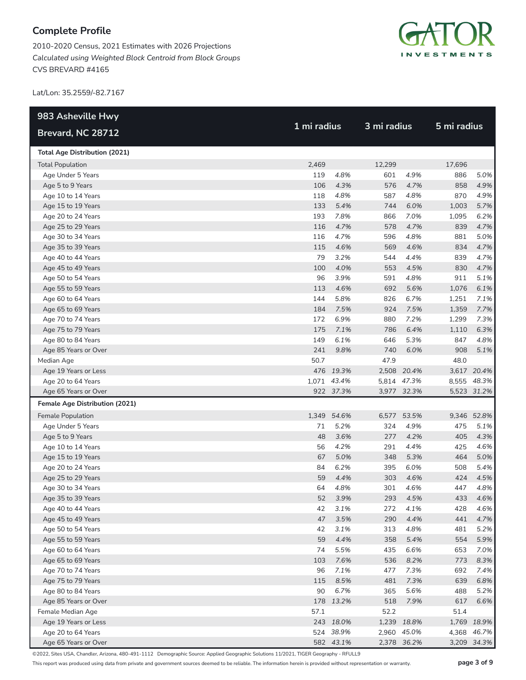2010-2020 Census, 2021 Estimates with 2026 Projections *Calculated using Weighted Block Centroid from Block Groups* CVS BREVARD #4165



Lat/Lon: 35.2559/-82.7167

| 983 Asheville Hwy                     |             |             | 3 mi radius |             | 5 mi radius |             |
|---------------------------------------|-------------|-------------|-------------|-------------|-------------|-------------|
| Brevard, NC 28712                     | 1 mi radius |             |             |             |             |             |
| <b>Total Age Distribution (2021)</b>  |             |             |             |             |             |             |
| <b>Total Population</b>               | 2,469       |             | 12,299      |             | 17,696      |             |
| Age Under 5 Years                     | 119         | 4.8%        | 601         | 4.9%        | 886         | 5.0%        |
| Age 5 to 9 Years                      | 106         | 4.3%        | 576         | 4.7%        | 858         | 4.9%        |
| Age 10 to 14 Years                    | 118         | 4.8%        | 587         | 4.8%        | 870         | 4.9%        |
| Age 15 to 19 Years                    | 133         | 5.4%        | 744         | 6.0%        | 1,003       | 5.7%        |
| Age 20 to 24 Years                    | 193         | 7.8%        | 866         | 7.0%        | 1,095       | 6.2%        |
| Age 25 to 29 Years                    | 116         | 4.7%        | 578         | 4.7%        | 839         | 4.7%        |
| Age 30 to 34 Years                    | 116         | 4.7%        | 596         | 4.8%        | 881         | 5.0%        |
| Age 35 to 39 Years                    | 115         | 4.6%        | 569         | 4.6%        | 834         | 4.7%        |
| Age 40 to 44 Years                    | 79          | 3.2%        | 544         | 4.4%        | 839         | 4.7%        |
| Age 45 to 49 Years                    | 100         | 4.0%        | 553         | 4.5%        | 830         | 4.7%        |
| Age 50 to 54 Years                    | 96          | 3.9%        | 591         | 4.8%        | 911         | 5.1%        |
| Age 55 to 59 Years                    | 113         | 4.6%        | 692         | 5.6%        | 1,076       | 6.1%        |
| Age 60 to 64 Years                    | 144         | 5.8%        | 826         | 6.7%        | 1,251       | 7.1%        |
| Age 65 to 69 Years                    | 184         | 7.5%        | 924         | 7.5%        | 1,359       | 7.7%        |
| Age 70 to 74 Years                    | 172         | 6.9%        | 880         | 7.2%        | 1,299       | 7.3%        |
| Age 75 to 79 Years                    | 175         | 7.1%        | 786         | 6.4%        | 1,110       | 6.3%        |
| Age 80 to 84 Years                    | 149         | 6.1%        | 646         | 5.3%        | 847         | 4.8%        |
| Age 85 Years or Over                  | 241         | 9.8%        | 740         | 6.0%        | 908         | 5.1%        |
| Median Age                            | 50.7        |             | 47.9        |             | 48.0        |             |
| Age 19 Years or Less                  |             | 476 19.3%   |             | 2,508 20.4% |             | 3,617 20.4% |
| Age 20 to 64 Years                    |             | 1,071 43.4% |             | 5,814 47.3% |             | 8,555 48.3% |
| Age 65 Years or Over                  |             | 922 37.3%   |             | 3,977 32.3% |             | 5,523 31.2% |
| <b>Female Age Distribution (2021)</b> |             |             |             |             |             |             |
| Female Population                     |             | 1,349 54.6% | 6,577       | 53.5%       |             | 9,346 52.8% |
| Age Under 5 Years                     | 71          | 5.2%        | 324         | 4.9%        | 475         | 5.1%        |
| Age 5 to 9 Years                      | 48          | 3.6%        | 277         | 4.2%        | 405         | 4.3%        |
| Age 10 to 14 Years                    | 56          | 4.2%        | 291         | 4.4%        | 425         | 4.6%        |
| Age 15 to 19 Years                    | 67          | 5.0%        | 348         | 5.3%        | 464         | 5.0%        |
| Age 20 to 24 Years                    | 84          | 6.2%        | 395         | 6.0%        | 508         | 5.4%        |
| Age 25 to 29 Years                    | 59          | 4.4%        | 303         | 4.6%        | 424         | 4.5%        |
| Age 30 to 34 Years                    | 64          | 4.8%        | 301         | 4.6%        | 447         | 4.8%        |
| Age 35 to 39 Years                    | 52          | 3.9%        | 293         | 4.5%        | 433         | 4.6%        |
| Age 40 to 44 Years                    | 42          | 3.1%        | 272         | 4.1%        | 428         | 4.6%        |
| Age 45 to 49 Years                    | 47          | 3.5%        | 290         | 4.4%        | 441         | 4.7%        |
| Age 50 to 54 Years                    | 42          | 3.1%        | 313         | 4.8%        | 481         | 5.2%        |
| Age 55 to 59 Years                    | 59          | 4.4%        | 358         | 5.4%        | 554         | 5.9%        |
| Age 60 to 64 Years                    | 74          | 5.5%        | 435         | 6.6%        | 653         | 7.0%        |
| Age 65 to 69 Years                    | 103         | 7.6%        | 536         | 8.2%        | 773         | 8.3%        |
| Age 70 to 74 Years                    | 96          | 7.1%        | 477         | 7.3%        | 692         | 7.4%        |
| Age 75 to 79 Years                    | 115         | 8.5%        | 481         | 7.3%        | 639         | 6.8%        |
| Age 80 to 84 Years                    | 90          | 6.7%        | 365         | 5.6%        | 488         | 5.2%        |
| Age 85 Years or Over                  |             | 178 13.2%   | 518         | 7.9%        | 617         | 6.6%        |
| Female Median Age                     | 57.1        |             | 52.2        |             | 51.4        |             |
| Age 19 Years or Less                  |             | 243 18.0%   |             | 1,239 18.8% |             | 1,769 18.9% |
| Age 20 to 64 Years                    |             | 524 38.9%   |             | 2,960 45.0% |             | 4,368 46.7% |
| Age 65 Years or Over                  |             | 582 43.1%   |             | 2,378 36.2% |             | 3,209 34.3% |

©2022, Sites USA, Chandler, Arizona, 480-491-1112 Demographic Source: Applied Geographic Solutions 11/2021, TIGER Geography - RFULL9

This report was produced using data from private and government sources deemed to be reliable. The information herein is provided without representation or warranty. **page 3 of 9**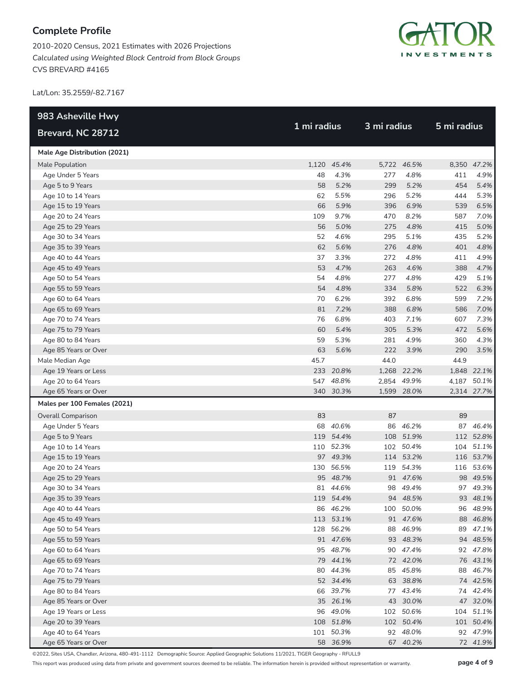2010-2020 Census, 2021 Estimates with 2026 Projections *Calculated using Weighted Block Centroid from Block Groups* CVS BREVARD #4165



Lat/Lon: 35.2559/-82.7167

| 983 Asheville Hwy            |             |             |             |             | 5 mi radius |             |  |
|------------------------------|-------------|-------------|-------------|-------------|-------------|-------------|--|
| Brevard, NC 28712            | 1 mi radius |             | 3 mi radius |             |             |             |  |
| Male Age Distribution (2021) |             |             |             |             |             |             |  |
| Male Population              |             | 1,120 45.4% |             | 5,722 46.5% |             | 8,350 47.2% |  |
| Age Under 5 Years            | 48          | 4.3%        | 277         | 4.8%        | 411         | 4.9%        |  |
| Age 5 to 9 Years             | 58          | 5.2%        | 299         | 5.2%        | 454         | 5.4%        |  |
| Age 10 to 14 Years           | 62          | 5.5%        | 296         | 5.2%        | 444         | 5.3%        |  |
| Age 15 to 19 Years           | 66          | 5.9%        | 396         | 6.9%        | 539         | 6.5%        |  |
| Age 20 to 24 Years           | 109         | 9.7%        | 470         | 8.2%        | 587         | 7.0%        |  |
| Age 25 to 29 Years           | 56          | 5.0%        | 275         | 4.8%        | 415         | 5.0%        |  |
| Age 30 to 34 Years           | 52          | 4.6%        | 295         | 5.1%        | 435         | 5.2%        |  |
| Age 35 to 39 Years           | 62          | 5.6%        | 276         | 4.8%        | 401         | 4.8%        |  |
| Age 40 to 44 Years           | 37          | 3.3%        | 272         | 4.8%        | 411         | 4.9%        |  |
| Age 45 to 49 Years           | 53          | 4.7%        | 263         | 4.6%        | 388         | 4.7%        |  |
| Age 50 to 54 Years           | 54          | 4.8%        | 277         | 4.8%        | 429         | 5.1%        |  |
| Age 55 to 59 Years           | 54          | 4.8%        | 334         | 5.8%        | 522         | 6.3%        |  |
| Age 60 to 64 Years           | 70          | 6.2%        | 392         | 6.8%        | 599         | 7.2%        |  |
| Age 65 to 69 Years           | 81          | 7.2%        | 388         | 6.8%        | 586         | 7.0%        |  |
| Age 70 to 74 Years           | 76          | 6.8%        | 403         | 7.1%        | 607         | 7.3%        |  |
| Age 75 to 79 Years           | 60          | 5.4%        | 305         | 5.3%        | 472         | 5.6%        |  |
| Age 80 to 84 Years           | 59          | 5.3%        | 281         | 4.9%        | 360         | 4.3%        |  |
| Age 85 Years or Over         | 63          | 5.6%        | 222         | 3.9%        | 290         | 3.5%        |  |
| Male Median Age              | 45.7        |             | 44.0        |             | 44.9        |             |  |
| Age 19 Years or Less         |             | 233 20.8%   |             | 1,268 22.2% |             | 1,848 22.1% |  |
| Age 20 to 64 Years           |             | 547 48.8%   |             | 2,854 49.9% |             | 4,187 50.1% |  |
| Age 65 Years or Over         |             | 340 30.3%   |             | 1,599 28.0% |             | 2,314 27.7% |  |
| Males per 100 Females (2021) |             |             |             |             |             |             |  |
| <b>Overall Comparison</b>    | 83          |             | 87          |             | 89          |             |  |
| Age Under 5 Years            |             | 68 40.6%    | 86          | 46.2%       |             | 87 46.4%    |  |
| Age 5 to 9 Years             |             | 119 54.4%   | 108         | 51.9%       |             | 112 52.8%   |  |
| Age 10 to 14 Years           |             | 110 52.3%   |             | 102 50.4%   |             | 104 51.1%   |  |
| Age 15 to 19 Years           |             | 97 49.3%    |             | 114 53.2%   |             | 116 53.7%   |  |
| Age 20 to 24 Years           |             | 130 56.5%   |             | 119 54.3%   |             | 116 53.6%   |  |
| Age 25 to 29 Years           |             | 95 48.7%    |             | 91 47.6%    |             | 98 49.5%    |  |
| Age 30 to 34 Years           |             | 81 44.6%    |             | 98 49.4%    |             | 97 49.3%    |  |
| Age 35 to 39 Years           |             | 119 54.4%   |             | 94 48.5%    |             | 93 48.1%    |  |
| Age 40 to 44 Years           |             | 86 46.2%    |             | 100 50.0%   |             | 96 48.9%    |  |
| Age 45 to 49 Years           |             | 113 53.1%   |             | 91 47.6%    |             | 88 46.8%    |  |
| Age 50 to 54 Years           |             | 128 56.2%   |             | 88 46.9%    |             | 89 47.1%    |  |
| Age 55 to 59 Years           |             | 91 47.6%    |             | 93 48.3%    |             | 94 48.5%    |  |
| Age 60 to 64 Years           |             | 95 48.7%    |             | 90 47.4%    |             | 92 47.8%    |  |
| Age 65 to 69 Years           |             | 79 44.1%    |             | 72 42.0%    |             | 76 43.1%    |  |
| Age 70 to 74 Years           |             | 80 44.3%    |             | 85 45.8%    |             | 88 46.7%    |  |
| Age 75 to 79 Years           |             | 52 34.4%    |             | 63 38.8%    |             | 74 42.5%    |  |
| Age 80 to 84 Years           |             | 66 39.7%    |             | 77 43.4%    |             | 74 42.4%    |  |
| Age 85 Years or Over         |             | 35 26.1%    |             | 43 30.0%    |             | 47 32.0%    |  |
| Age 19 Years or Less         |             | 96 49.0%    |             | 102 50.6%   |             | 104 51.1%   |  |
| Age 20 to 39 Years           |             | 108 51.8%   |             | 102 50.4%   |             | 101 50.4%   |  |
| Age 40 to 64 Years           |             | 101 50.3%   |             | 92 48.0%    |             | 92 47.9%    |  |
| Age 65 Years or Over         |             | 58 36.9%    |             | 67 40.2%    |             | 72 41.9%    |  |

©2022, Sites USA, Chandler, Arizona, 480-491-1112 Demographic Source: Applied Geographic Solutions 11/2021, TIGER Geography - RFULL9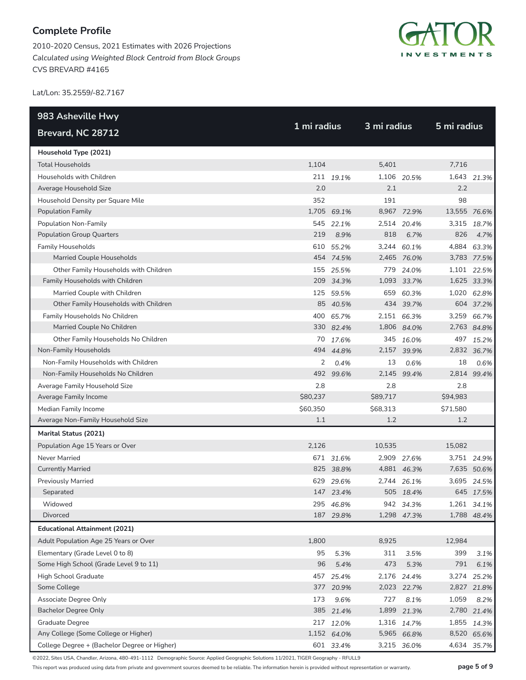2010-2020 Census, 2021 Estimates with 2026 Projections *Calculated using Weighted Block Centroid from Block Groups* CVS BREVARD #4165



Lat/Lon: 35.2559/-82.7167

| 983 Asheville Hwy                            |          | 1 mi radius |          | 3 mi radius |              |             |  |
|----------------------------------------------|----------|-------------|----------|-------------|--------------|-------------|--|
| Brevard, NC 28712                            |          |             |          |             | 5 mi radius  |             |  |
| Household Type (2021)                        |          |             |          |             |              |             |  |
| <b>Total Households</b>                      | 1,104    |             | 5,401    |             | 7,716        |             |  |
| Households with Children                     |          | 211 19.1%   |          | 1,106 20.5% |              | 1,643 21.3% |  |
| Average Household Size                       | 2.0      |             | 2.1      |             | 2.2          |             |  |
| Household Density per Square Mile            | 352      |             | 191      |             | 98           |             |  |
| Population Family                            | 1,705    | 69.1%       | 8,967    | 72.9%       | 13,555 76.6% |             |  |
| Population Non-Family                        |          | 545 22.1%   |          | 2,514 20.4% |              | 3,315 18.7% |  |
| <b>Population Group Quarters</b>             | 219      | 8.9%        | 818      | 6.7%        | 826          | 4.7%        |  |
| <b>Family Households</b>                     | 610      | 55.2%       |          | 3,244 60.1% |              | 4,884 63.3% |  |
| Married Couple Households                    |          | 454 74.5%   |          | 2,465 76.0% |              | 3,783 77.5% |  |
| Other Family Households with Children        |          | 155 25.5%   |          | 779 24.0%   |              | 1,101 22.5% |  |
| Family Households with Children              | 209      | 34.3%       |          | 1,093 33.7% |              | 1,625 33.3% |  |
| Married Couple with Children                 | 125      | 59.5%       | 659      | 60.3%       |              | 1,020 62.8% |  |
| Other Family Households with Children        |          | 85 40.5%    |          | 434 39.7%   |              | 604 37.2%   |  |
| Family Households No Children                |          | 400 65.7%   |          | 2,151 66.3% |              | 3,259 66.7% |  |
| Married Couple No Children                   |          | 330 82.4%   |          | 1,806 84.0% |              | 2,763 84.8% |  |
| Other Family Households No Children          |          | 70 17.6%    | 345      | 16.0%       |              | 497 15.2%   |  |
| Non-Family Households                        |          | 494 44.8%   |          | 2,157 39.9% |              | 2,832 36.7% |  |
| Non-Family Households with Children          | 2        | 0.4%        | 13       | 0.6%        | 18           | 0.6%        |  |
| Non-Family Households No Children            |          | 492 99.6%   | 2,145    | 99.4%       |              | 2,814 99.4% |  |
| Average Family Household Size                | 2.8      |             | 2.8      |             | 2.8          |             |  |
| Average Family Income                        | \$80,237 |             | \$89,717 |             | \$94,983     |             |  |
| Median Family Income                         | \$60,350 |             | \$68,313 |             | \$71,580     |             |  |
| Average Non-Family Household Size            | 1.1      |             | 1.2      |             | 1.2          |             |  |
| Marital Status (2021)                        |          |             |          |             |              |             |  |
| Population Age 15 Years or Over              | 2,126    |             | 10,535   |             | 15,082       |             |  |
| Never Married                                |          | 671 31.6%   |          | 2,909 27.6% |              | 3,751 24.9% |  |
| <b>Currently Married</b>                     |          | 825 38.8%   |          | 4,881 46.3% |              | 7,635 50.6% |  |
| <b>Previously Married</b>                    |          | 629 29.6%   |          | 2,744 26.1% |              | 3,695 24.5% |  |
| Separated                                    |          | 147 23.4%   |          | 505 18.4%   |              | 645 17.5%   |  |
| Widowed                                      |          | 295 46.8%   |          | 942 34.3%   |              | 1,261 34.1% |  |
| Divorced                                     |          | 187 29.8%   |          | 1,298 47.3% |              | 1,788 48.4% |  |
| <b>Educational Attainment (2021)</b>         |          |             |          |             |              |             |  |
| Adult Population Age 25 Years or Over        | 1,800    |             | 8,925    |             | 12,984       |             |  |
| Elementary (Grade Level 0 to 8)              | 95       | 5.3%        | 311      | 3.5%        | 399          | 3.1%        |  |
| Some High School (Grade Level 9 to 11)       | 96       | 5.4%        | 473      | 5.3%        | 791          | 6.1%        |  |
| High School Graduate                         | 457      | 25.4%       |          | 2,176 24.4% | 3,274        | 25.2%       |  |
| Some College                                 | 377      | 20.9%       |          | 2,023 22.7% |              | 2,827 21.8% |  |
| Associate Degree Only                        | 173      | 9.6%        | 727      | 8.1%        | 1,059        | 8.2%        |  |
| <b>Bachelor Degree Only</b>                  | 385      | 21.4%       | 1,899    | 21.3%       |              | 2,780 21.4% |  |
| Graduate Degree                              |          | 217 12.0%   |          | 1,316 14.7% |              | 1,855 14.3% |  |
| Any College (Some College or Higher)         |          | 1,152 64.0% |          | 5,965 66.8% |              | 8,520 65.6% |  |
| College Degree + (Bachelor Degree or Higher) |          | 601 33.4%   |          | 3,215 36.0% |              | 4,634 35.7% |  |

©2022, Sites USA, Chandler, Arizona, 480-491-1112 Demographic Source: Applied Geographic Solutions 11/2021, TIGER Geography - RFULL9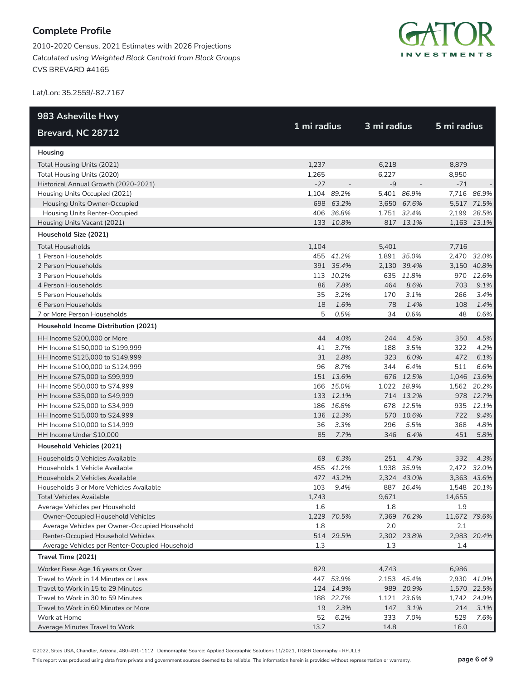2010-2020 Census, 2021 Estimates with 2026 Projections *Calculated using Weighted Block Centroid from Block Groups* CVS BREVARD #4165



Lat/Lon: 35.2559/-82.7167

| 983 Asheville Hwy                              |             |             | 3 mi radius |             |              |             |
|------------------------------------------------|-------------|-------------|-------------|-------------|--------------|-------------|
| Brevard, NC 28712                              | 1 mi radius |             |             |             | 5 mi radius  |             |
| Housing                                        |             |             |             |             |              |             |
| Total Housing Units (2021)                     | 1,237       |             | 6,218       |             | 8,879        |             |
| Total Housing Units (2020)                     | 1,265       |             | 6,227       |             | 8,950        |             |
| Historical Annual Growth (2020-2021)           | $-27$       |             | $-9$        |             | $-71$        |             |
| Housing Units Occupied (2021)                  |             | 1,104 89.2% |             | 5,401 86.9% |              | 7,716 86.9% |
| Housing Units Owner-Occupied                   |             | 698 63.2%   |             | 3,650 67.6% |              | 5,517 71.5% |
| Housing Units Renter-Occupied                  |             | 406 36.8%   |             | 1,751 32.4% |              | 2,199 28.5% |
| Housing Units Vacant (2021)                    |             | 133 10.8%   |             | 817 13.1%   |              | 1,163 13.1% |
| Household Size (2021)                          |             |             |             |             |              |             |
| <b>Total Households</b>                        | 1,104       |             | 5,401       |             | 7,716        |             |
| 1 Person Households                            |             | 455 41.2%   |             | 1,891 35.0% |              | 2,470 32.0% |
| 2 Person Households                            |             | 391 35.4%   |             | 2,130 39.4% |              | 3,150 40.8% |
| 3 Person Households                            |             | 113 10.2%   |             | 635 11.8%   |              | 970 12.6%   |
| 4 Person Households                            | 86          | 7.8%        | 464         | 8.6%        | 703          | 9.1%        |
| 5 Person Households                            | 35          | 3.2%        | 170         | 3.1%        | 266          | 3.4%        |
| 6 Person Households                            | 18          | 1.6%        | 78          | 1.4%        | 108          | 1.4%        |
| 7 or More Person Households                    | 5           | 0.5%        | 34          | 0.6%        | 48           | 0.6%        |
| Household Income Distribution (2021)           |             |             |             |             |              |             |
| HH Income \$200,000 or More                    | 44          | 4.0%        | 244         | 4.5%        | 350          | 4.5%        |
| HH Income \$150,000 to \$199,999               | 41          | 3.7%        | 188         | 3.5%        | 322          | 4.2%        |
| HH Income \$125,000 to \$149,999               | 31          | 2.8%        | 323         | 6.0%        | 472          | 6.1%        |
| HH Income \$100,000 to \$124,999               | 96          | 8.7%        | 344         | 6.4%        | 511          | 6.6%        |
| HH Income \$75,000 to \$99,999                 |             | 151 13.6%   |             | 676 12.5%   |              | 1,046 13.6% |
| HH Income \$50,000 to \$74,999                 |             | 166 15.0%   |             | 1,022 18.9% |              | 1,562 20.2% |
| HH Income \$35,000 to \$49,999                 |             | 133 12.1%   |             | 714 13.2%   |              | 978 12.7%   |
| HH Income \$25,000 to \$34,999                 |             | 186 16.8%   | 678         | 12.5%       |              | 935 12.1%   |
| HH Income \$15,000 to \$24,999                 |             | 136 12.3%   |             | 570 10.6%   | 722          | 9.4%        |
| HH Income \$10,000 to \$14,999                 | 36          | 3.3%        | 296         | 5.5%        | 368          | 4.8%        |
| HH Income Under \$10,000                       | 85          | 7.7%        | 346         | 6.4%        | 451          | 5.8%        |
| Household Vehicles (2021)                      |             |             |             |             |              |             |
| Households 0 Vehicles Available                | 69          | 6.3%        | 251         | 4.7%        | 332          | 4.3%        |
| Households 1 Vehicle Available                 |             | 455 41.2%   |             | 1,938 35.9% |              | 2,472 32.0% |
| Households 2 Vehicles Available                |             | 477 43.2%   |             | 2,324 43.0% |              | 3,363 43.6% |
| Households 3 or More Vehicles Available        | 103         | 9.4%        |             | 887 16.4%   |              | 1,548 20.1% |
| Total Vehicles Available                       | 1.743       |             | 9,671       |             | 14,655       |             |
| Average Vehicles per Household                 | 1.6         |             | 1.8         |             | 1.9          |             |
| Owner-Occupied Household Vehicles              |             | 1,229 70.5% | 7,369       | 76.2%       | 11,672 79.6% |             |
| Average Vehicles per Owner-Occupied Household  | 1.8         |             | 2.0         |             | 2.1          |             |
| Renter-Occupied Household Vehicles             |             | 514 29.5%   |             | 2,302 23.8% |              | 2,983 20.4% |
| Average Vehicles per Renter-Occupied Household | 1.3         |             | 1.3         |             | 1.4          |             |
| Travel Time (2021)                             |             |             |             |             |              |             |
| Worker Base Age 16 years or Over               | 829         |             | 4,743       |             | 6,986        |             |
| Travel to Work in 14 Minutes or Less           |             | 447 53.9%   |             | 2,153 45.4% |              | 2,930 41.9% |
| Travel to Work in 15 to 29 Minutes             |             | 124 14.9%   |             | 989 20.9%   |              | 1,570 22.5% |
| Travel to Work in 30 to 59 Minutes             | 188         | 22.7%       |             | 1,121 23.6% |              | 1,742 24.9% |
| Travel to Work in 60 Minutes or More           | 19          | 2.3%        | 147         | 3.1%        | 214          | 3.1%        |
| Work at Home                                   | 52          | 6.2%        | 333         | 7.0%        | 529          | 7.6%        |
| Average Minutes Travel to Work                 | 13.7        |             | 14.8        |             | 16.0         |             |

©2022, Sites USA, Chandler, Arizona, 480-491-1112 Demographic Source: Applied Geographic Solutions 11/2021, TIGER Geography - RFULL9

This report was produced using data from private and government sources deemed to be reliable. The information herein is provided without representation or warranty. **page 6 of 9**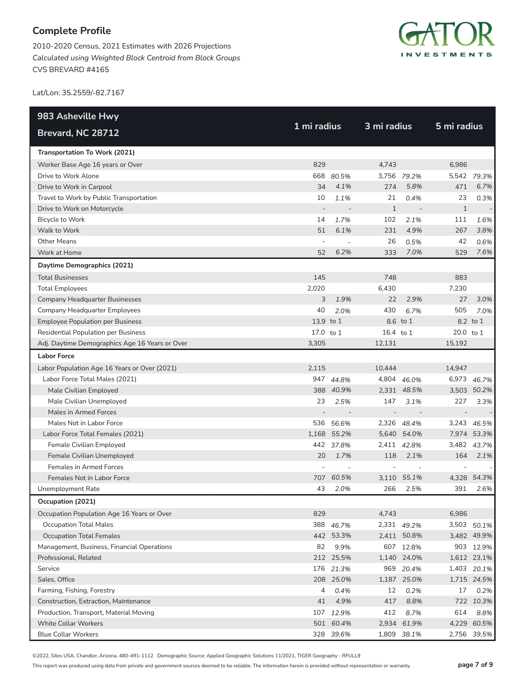2010-2020 Census, 2021 Estimates with 2026 Projections *Calculated using Weighted Block Centroid from Block Groups* CVS BREVARD #4165



Lat/Lon: 35.2559/-82.7167

| 983 Asheville Hwy                              | 1 mi radius    |             | 3 mi radius    |                          | 5 mi radius              |             |  |
|------------------------------------------------|----------------|-------------|----------------|--------------------------|--------------------------|-------------|--|
| Brevard, NC 28712                              |                |             |                |                          |                          |             |  |
| Transportation To Work (2021)                  |                |             |                |                          |                          |             |  |
| Worker Base Age 16 years or Over               | 829            |             | 4,743          |                          | 6.986                    |             |  |
| Drive to Work Alone                            |                | 668 80.5%   |                | 3,756 79.2%              |                          | 5,542 79.3% |  |
| Drive to Work in Carpool                       | 34             | 4.1%        | 274            | 5.8%                     | 471                      | 6.7%        |  |
| Travel to Work by Public Transportation        | 10             | 1.1%        | 21             | 0.4%                     | 23                       | 0.3%        |  |
| Drive to Work on Motorcycle                    |                |             | $\mathbf{1}$   | $\overline{\phantom{a}}$ | $\mathbf{1}$             |             |  |
| Bicycle to Work                                | 14             | 1.7%        | 102            | 2.1%                     | 111                      | 1.6%        |  |
| Walk to Work                                   | 51             | 6.1%        | 231            | 4.9%                     | 267                      | 3.8%        |  |
| <b>Other Means</b>                             |                |             | 26             | 0.5%                     | 42                       | 0.6%        |  |
| Work at Home                                   | 52             | 6.2%        | 333            | 7.0%                     | 529                      | 7.6%        |  |
| Daytime Demographics (2021)                    |                |             |                |                          |                          |             |  |
| <b>Total Businesses</b>                        | 145            |             | 748            |                          | 883                      |             |  |
| <b>Total Employees</b>                         | 2,020          |             | 6,430          |                          | 7,230                    |             |  |
| <b>Company Headquarter Businesses</b>          | 3              | 1.9%        | 22             | 2.9%                     | 27                       | 3.0%        |  |
| <b>Company Headquarter Employees</b>           | 40             | 2.0%        | 430            | 6.7%                     | 505                      | 7.0%        |  |
| <b>Employee Population per Business</b>        | 13.9 to 1      |             |                | 8.6 to 1                 |                          | 8.2 to 1    |  |
| <b>Residential Population per Business</b>     | 17.0 to 1      |             | 16.4 to 1      |                          | 20.0 to 1                |             |  |
| Adj. Daytime Demographics Age 16 Years or Over | 3,305          |             | 12,131         |                          | 15,192                   |             |  |
| <b>Labor Force</b>                             |                |             |                |                          |                          |             |  |
| Labor Population Age 16 Years or Over (2021)   | 2,115          |             | 10,444         |                          | 14,947                   |             |  |
| Labor Force Total Males (2021)                 |                | 947 44.8%   |                | 4,804 46.0%              |                          | 6,973 46.7% |  |
| Male Civilian Employed                         |                | 388 40.9%   |                | 2,331 48.5%              |                          | 3,503 50.2% |  |
| Male Civilian Unemployed                       | 23             | 2.5%        | 147            | 3.1%                     | 227                      | 3.3%        |  |
| Males in Armed Forces                          | $\overline{a}$ |             | $\overline{a}$ |                          | $\overline{\phantom{a}}$ |             |  |
| Males Not in Labor Force                       |                | 536 56.6%   |                | 2,326 48.4%              |                          | 3,243 46.5% |  |
| Labor Force Total Females (2021)               |                | 1,168 55.2% |                | 5,640 54.0%              |                          | 7,974 53.3% |  |
| Female Civilian Employed                       |                | 442 37.8%   |                | 2,411 42.8%              |                          | 3,482 43.7% |  |
| Female Civilian Unemployed                     | 20             | 1.7%        | 118            | 2.1%                     | 164                      | 2.1%        |  |
| <b>Females in Armed Forces</b>                 |                |             |                |                          |                          |             |  |
| Females Not in Labor Force                     |                | 707 60.5%   |                | 3,110 55.1%              |                          | 4,328 54.3% |  |
| Unemployment Rate                              | 43             | 2.0%        | 266            | 2.5%                     | 391                      | 2.6%        |  |
| Occupation (2021)                              |                |             |                |                          |                          |             |  |
| Occupation Population Age 16 Years or Over     | 829            |             | 4,743          |                          | 6,986                    |             |  |
| <b>Occupation Total Males</b>                  |                | 388 46.7%   |                | 2,331 49.2%              |                          | 3,503 50.1% |  |
| <b>Occupation Total Females</b>                |                | 442 53.3%   |                | 2,411 50.8%              |                          | 3,482 49.9% |  |
| Management, Business, Financial Operations     | 82             | 9.9%        |                | 607 12.8%                |                          | 903 12.9%   |  |
| Professional, Related                          |                | 212 25.5%   |                | 1,140 24.0%              |                          | 1,612 23.1% |  |
| Service                                        |                | 176 21.3%   |                | 969 20.4%                |                          | 1,403 20.1% |  |
| Sales, Office                                  |                | 208 25.0%   |                | 1,187 25.0%              |                          | 1,715 24.5% |  |
| Farming, Fishing, Forestry                     | 4              | 0.4%        | 12             | 0.2%                     | 17                       | 0.2%        |  |
| Construction, Extraction, Maintenance          | 41             | 4.9%        | 417            | 8.8%                     |                          | 722 10.3%   |  |
| Production, Transport, Material Moving         |                | 107 12.9%   | 412            | 8.7%                     | 614                      | 8.8%        |  |
| <b>White Collar Workers</b>                    |                | 501 60.4%   |                | 2,934 61.9%              |                          | 4,229 60.5% |  |
| <b>Blue Collar Workers</b>                     |                | 328 39.6%   |                | 1,809 38.1%              |                          | 2,756 39.5% |  |

©2022, Sites USA, Chandler, Arizona, 480-491-1112 Demographic Source: Applied Geographic Solutions 11/2021, TIGER Geography - RFULL9

This report was produced using data from private and government sources deemed to be reliable. The information herein is provided without representation or warranty. **page 7 of 9**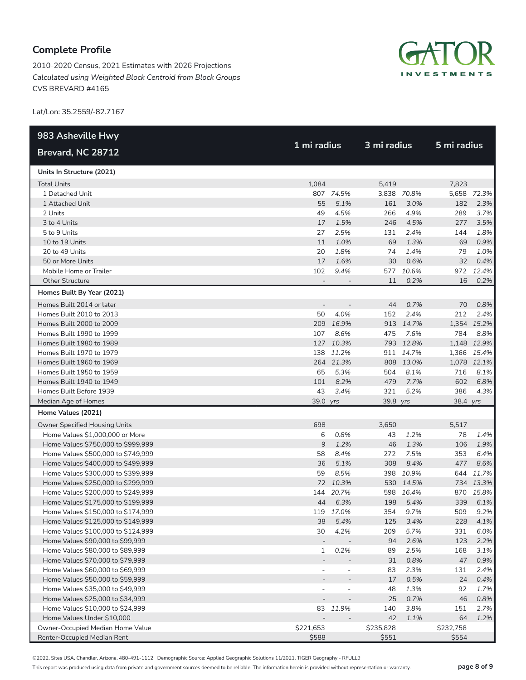2010-2020 Census, 2021 Estimates with 2026 Projections *Calculated using Weighted Block Centroid from Block Groups* CVS BREVARD #4165



Lat/Lon: 35.2559/-82.7167

| 983 Asheville Hwy                  |                          |                          |             |             |             |             |
|------------------------------------|--------------------------|--------------------------|-------------|-------------|-------------|-------------|
| Brevard, NC 28712                  | 1 mi radius              |                          | 3 mi radius |             | 5 mi radius |             |
| Units In Structure (2021)          |                          |                          |             |             |             |             |
| <b>Total Units</b>                 | 1,084                    |                          | 5,419       |             | 7,823       |             |
| 1 Detached Unit                    |                          | 807 74.5%                |             | 3,838 70.8% |             | 5,658 72.3% |
| 1 Attached Unit                    | 55                       | 5.1%                     | 161         | 3.0%        | 182         | 2.3%        |
| 2 Units                            | 49                       | 4.5%                     | 266         | 4.9%        | 289         | 3.7%        |
| 3 to 4 Units                       | 17                       | 1.5%                     | 246         | 4.5%        | 277         | 3.5%        |
| 5 to 9 Units                       | 27                       | 2.5%                     | 131         | 2.4%        | 144         | 1.8%        |
| 10 to 19 Units                     | 11                       | 1.0%                     | 69          | 1.3%        | 69          | 0.9%        |
| 20 to 49 Units                     | 20                       | 1.8%                     | 74          | 1.4%        | 79          | 1.0%        |
| 50 or More Units                   | 17                       | 1.6%                     | 30          | 0.6%        | 32          | 0.4%        |
| Mobile Home or Trailer             | 102                      | 9.4%                     |             | 577 10.6%   |             | 972 12.4%   |
| <b>Other Structure</b>             |                          |                          | 11          | 0.2%        | 16          | 0.2%        |
| Homes Built By Year (2021)         |                          |                          |             |             |             |             |
| Homes Built 2014 or later          | $\overline{a}$           |                          | 44          | 0.7%        | 70          | 0.8%        |
| Homes Built 2010 to 2013           | 50                       | 4.0%                     | 152         | 2.4%        | 212         | 2.4%        |
| Homes Built 2000 to 2009           | 209                      | 16.9%                    |             | 913 14.7%   |             | 1,354 15.2% |
| Homes Built 1990 to 1999           | 107                      | 8.6%                     | 475         | 7.6%        | 784         | 8.8%        |
| Homes Built 1980 to 1989           |                          | 127 10.3%                |             | 793 12.8%   |             | 1,148 12.9% |
| Homes Built 1970 to 1979           | 138                      | 11.2%                    | 911         | 14.7%       |             | 1,366 15.4% |
| Homes Built 1960 to 1969           |                          | 264 21.3%                |             | 808 13.0%   |             | 1,078 12.1% |
| Homes Built 1950 to 1959           | 65                       | 5.3%                     | 504         | 8.1%        | 716         | 8.1%        |
| Homes Built 1940 to 1949           | 101                      | 8.2%                     | 479         | 7.7%        | 602         | 6.8%        |
| Homes Built Before 1939            | 43                       | 3.4%                     | 321         | 5.2%        | 386         | 4.3%        |
| Median Age of Homes                | 39.0 yrs                 |                          | 39.8 yrs    |             | 38.4 yrs    |             |
| Home Values (2021)                 |                          |                          |             |             |             |             |
| Owner Specified Housing Units      | 698                      |                          | 3,650       |             | 5,517       |             |
| Home Values \$1,000,000 or More    | 6                        | 0.8%                     | 43          | 1.2%        | 78          | 1.4%        |
| Home Values \$750,000 to \$999,999 | 9                        | 1.2%                     | 46          | 1.3%        | 106         | 1.9%        |
| Home Values \$500,000 to \$749,999 | 58                       | 8.4%                     | 272         | 7.5%        | 353         | 6.4%        |
| Home Values \$400,000 to \$499,999 | 36                       | 5.1%                     | 308         | 8.4%        | 477         | 8.6%        |
| Home Values \$300,000 to \$399,999 | 59                       | 8.5%                     | 398         | 10.9%       |             | 644 11.7%   |
| Home Values \$250,000 to \$299,999 |                          | 72 10.3%                 |             | 530 14.5%   |             | 734 13.3%   |
| Home Values \$200,000 to \$249,999 | 144                      | 20.7%                    |             | 598 16.4%   | 870         | 15.8%       |
| Home Values \$175,000 to \$199,999 | 44                       | 6.3%                     | 198         | 5.4%        | 339         | 6.1%        |
| Home Values \$150,000 to \$174,999 |                          | 119 17.0%                | 354         | 9.7%        | 509         | 9.2%        |
| Home Values \$125,000 to \$149,999 | 38                       | 5.4%                     | 125         | 3.4%        | 228         | 4.1%        |
| Home Values \$100,000 to \$124,999 | 30                       | 4.2%                     | 209         | 5.7%        | 331         | 6.0%        |
| Home Values \$90,000 to \$99,999   | $\overline{\phantom{a}}$ |                          | 94          | 2.6%        | 123         | 2.2%        |
| Home Values \$80,000 to \$89,999   | 1                        | 0.2%                     | 89          | 2.5%        | 168         | 3.1%        |
| Home Values \$70,000 to \$79,999   |                          |                          | 31          | 0.8%        | 47          | 0.9%        |
| Home Values \$60,000 to \$69,999   | $\overline{\phantom{a}}$ | $\overline{a}$           | 83          | 2.3%        | 131         | 2.4%        |
| Home Values \$50,000 to \$59,999   |                          |                          | 17          | 0.5%        | 24          | 0.4%        |
| Home Values \$35,000 to \$49,999   | $\overline{\phantom{a}}$ | $\overline{\phantom{m}}$ | 48          | 1.3%        | 92          | 1.7%        |
| Home Values \$25,000 to \$34,999   |                          |                          | 25          | 0.7%        | 46          | 0.8%        |
| Home Values \$10,000 to \$24,999   | 83                       | 11.9%                    | 140         | 3.8%        | 151         | 2.7%        |
| Home Values Under \$10,000         |                          |                          | 42          | 1.1%        | 64          | 1.2%        |
| Owner-Occupied Median Home Value   | \$221,653                |                          | \$235,828   |             | \$232,758   |             |
| Renter-Occupied Median Rent        | \$588                    |                          | \$551       |             | \$554       |             |

©2022, Sites USA, Chandler, Arizona, 480-491-1112 Demographic Source: Applied Geographic Solutions 11/2021, TIGER Geography - RFULL9

This report was produced using data from private and government sources deemed to be reliable. The information herein is provided without representation or warranty. **page 8 of 9**